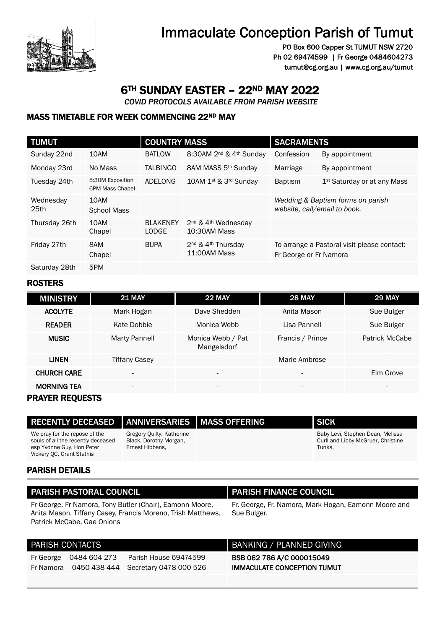

# Immaculate Conception Parish of Tumut

PO Box 600 Capper St TUMUT NSW 2720 Ph 02 69474599 | Fr George 0484604273 tumut@cg.org.au | www.cg.org.au/tumut

## 6TH SUNDAY EASTER – 22ND MAY 2022

 *COVID PROTOCOLS AVAILABLE FROM PARISH WEBSITE* 

#### MASS TIMETABLE FOR WEEK COMMENCING 22ND MAY

| <b>TUMUT</b>                  |                                     | <b>COUNTRY MASS</b>             |                                                             | <b>SACRAMENTS</b>      |                                                                   |
|-------------------------------|-------------------------------------|---------------------------------|-------------------------------------------------------------|------------------------|-------------------------------------------------------------------|
| Sunday 22nd                   | 10AM                                | <b>BATLOW</b>                   | 8:30AM 2 <sup>nd</sup> & 4 <sup>th</sup> Sunday             | Confession             | By appointment                                                    |
| Monday 23rd                   | No Mass                             | <b>TALBINGO</b>                 | 8AM MASS 5 <sup>th</sup> Sunday                             | Marriage               | By appointment                                                    |
| Tuesday 24th                  | 5:30M Exposition<br>6PM Mass Chapel | ADELONG                         | 10AM 1 <sup>st</sup> & 3 <sup>rd</sup> Sunday               | <b>Baptism</b>         | 1 <sup>st</sup> Saturday or at any Mass                           |
| Wednesday<br>25 <sub>th</sub> | 10AM<br><b>School Mass</b>          |                                 |                                                             |                        | Wedding & Baptism forms on parish<br>website, call/email to book. |
| Thursday 26th                 | 10AM<br>Chapel                      | <b>BLAKENEY</b><br><b>LODGE</b> | 2 <sup>nd</sup> & 4 <sup>th</sup> Wednesday<br>10:30AM Mass |                        |                                                                   |
| Friday 27th                   | 8AM<br>Chapel                       | <b>BUPA</b>                     | 2 <sup>nd</sup> & 4 <sup>th</sup> Thursday<br>11:00AM Mass  | Fr George or Fr Namora | To arrange a Pastoral visit please contact:                       |
| Saturday 28th                 | 5PM                                 |                                 |                                                             |                        |                                                                   |

#### **ROSTERS**

| <b>MINISTRY</b>    | <b>21 MAY</b>            | 22 MAY                           | <b>28 MAY</b>            | 29 MAY                   |
|--------------------|--------------------------|----------------------------------|--------------------------|--------------------------|
| <b>ACOLYTE</b>     | Mark Hogan               | Dave Shedden                     | Anita Mason              | Sue Bulger               |
| <b>READER</b>      | Kate Dobbie              | Monica Webb                      | Lisa Pannell             | Sue Bulger               |
| <b>MUSIC</b>       | <b>Marty Pannell</b>     | Monica Webb / Pat<br>Mangelsdorf | Francis / Prince         | Patrick McCabe           |
| <b>LINEN</b>       | <b>Tiffany Casey</b>     | $\overline{\phantom{a}}$         | Marie Ambrose            | $\overline{\phantom{0}}$ |
| <b>CHURCH CARE</b> | $\overline{\phantom{a}}$ | $\overline{\phantom{a}}$         | $\overline{\phantom{0}}$ | Elm Grove                |
| <b>MORNING TEA</b> | $\overline{\phantom{0}}$ | $\overline{\phantom{0}}$         | $\overline{\phantom{a}}$ |                          |

#### PRAYER REQUESTS

| RECENTLY DECEASED   ANNIVERSARIES   MASS OFFERING                                                                             |                                                                        | <b>SICK</b>                                                                      |
|-------------------------------------------------------------------------------------------------------------------------------|------------------------------------------------------------------------|----------------------------------------------------------------------------------|
| We pray for the repose of the<br>souls of all the recently deceased<br>esp Yvonne Guy, Hon Peter<br>Vickery OC, Grant Stathis | Gregory Quilty, Katherine<br>Black, Dorothy Morgan,<br>Ernest Hibbens, | Baby Levi, Stephen Dean, Melissa<br>Curll and Libby McGruer, Christine<br>Tunks. |

#### PARISH DETAILS

| <b>PARISH PASTORAL COUNCIL</b>                                                                                          | <b>PARISH FINANCE COUNCIL</b>                                       |
|-------------------------------------------------------------------------------------------------------------------------|---------------------------------------------------------------------|
| Fr George, Fr Namora, Tony Butler (Chair), Eamonn Moore,<br>Anita Mason, Tiffany Casey, Francis Moreno, Trish Matthews, | Fr. George, Fr. Namora, Mark Hogan, Eamonn Moore and<br>Sue Bulger. |
| Patrick McCabe, Gae Onions                                                                                              |                                                                     |

| <b>PARISH CONTACTS</b>                          |                       | BANKING / PLANNED GIVING           |
|-------------------------------------------------|-----------------------|------------------------------------|
| Fr George - 0484 604 273                        | Parish House 69474599 | BSB 062 786 A/C 000015049          |
| Fr Namora - 0450 438 444 Secretary 0478 000 526 |                       | <b>IMMACULATE CONCEPTION TUMUT</b> |